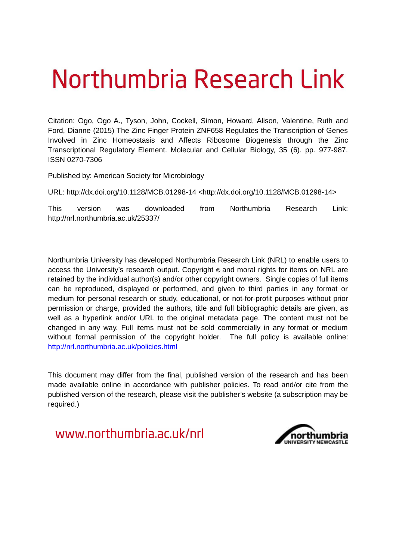# Northumbria Research Link

Citation: Ogo, Ogo A., Tyson, John, Cockell, Simon, Howard, Alison, Valentine, Ruth and Ford, Dianne (2015) The Zinc Finger Protein ZNF658 Regulates the Transcription of Genes Involved in Zinc Homeostasis and Affects Ribosome Biogenesis through the Zinc Transcriptional Regulatory Element. Molecular and Cellular Biology, 35 (6). pp. 977-987. ISSN 0270-7306

Published by: American Society for Microbiology

URL: http://dx.doi.org/10.1128/MCB.01298-14 <http://dx.doi.org/10.1128/MCB.01298-14>

This version was downloaded from Northumbria Research Link: http://nrl.northumbria.ac.uk/25337/

Northumbria University has developed Northumbria Research Link (NRL) to enable users to access the University's research output. Copyright  $\circ$  and moral rights for items on NRL are retained by the individual author(s) and/or other copyright owners. Single copies of full items can be reproduced, displayed or performed, and given to third parties in any format or medium for personal research or study, educational, or not-for-profit purposes without prior permission or charge, provided the authors, title and full bibliographic details are given, as well as a hyperlink and/or URL to the original metadata page. The content must not be changed in any way. Full items must not be sold commercially in any format or medium without formal permission of the copyright holder. The full policy is available online: <http://nrl.northumbria.ac.uk/policies.html>

This document may differ from the final, published version of the research and has been made available online in accordance with publisher policies. To read and/or cite from the published version of the research, please visit the publisher's website (a subscription may be required.)

www.northumbria.ac.uk/nrl

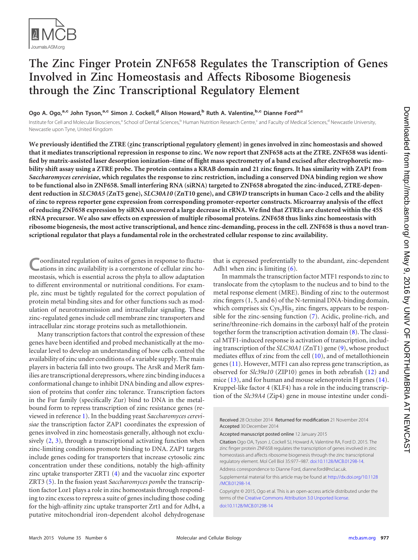

# **The Zinc Finger Protein ZNF658 Regulates the Transcription of Genes Involved in Zinc Homeostasis and Affects Ribosome Biogenesis through the Zinc Transcriptional Regulatory Element**

**Ogo A. Ogo,a,c John Tyson,a,c Simon J. Cockell,<sup>d</sup> Alison Howard,<sup>b</sup> Ruth A. Valentine,b,c Dianne Forda,c**

Institute for Cell and Molecular Biosciences,<sup>a</sup> School of Dental Sciences,<sup>b</sup> Human Nutrition Research Centre,<sup>c</sup> and Faculty of Medical Sciences,<sup>d</sup> Newcastle University, Newcastle upon Tyne, United Kingdom

**We previously identified the ZTRE (zinc transcriptional regulatory element) in genes involved in zinc homeostasis and showed that it mediates transcriptional repression in response to zinc. We now report that ZNF658 acts at the ZTRE. ZNF658 was identified by matrix-assisted laser desorption ionization–time of flight mass spectrometry of a band excised after electrophoretic mobility shift assay using a ZTRE probe. The protein contains a KRAB domain and 21 zinc fingers. It has similarity with ZAP1 from** *Saccharomyces cerevisiae***, which regulates the response to zinc restriction, including a conserved DNA binding region we show to be functional also in ZNF658. Small interfering RNA (siRNA) targeted to ZNF658 abrogated the zinc-induced, ZTRE-dependent reduction in** *SLC30A5* **(ZnT5 gene),** *SLC30A10* **(ZnT10 gene), and** *CBWD* **transcripts in human Caco-2 cells and the ability of zinc to repress reporter gene expression from corresponding promoter-reporter constructs. Microarray analysis of the effect of reducing ZNF658 expression by siRNA uncovered a large decrease in rRNA. We find that ZTREs are clustered within the 45S rRNA precursor. We also saw effects on expression of multiple ribosomal proteins. ZNF658 thus links zinc homeostasis with ribosome biogenesis, the most active transcriptional, and hence zinc-demanding, process in the cell. ZNF658 is thus a novel transcriptional regulator that plays a fundamental role in the orchestrated cellular response to zinc availability.**

**C** oordinated regulation of suites of genes in response to fluctuations in zinc availability is a cornerstone of cellular zinc homeostasis, which is essential across the phyla to allow adaptation to different environmental or nutritional conditions. For example, zinc must be tightly regulated for the correct population of protein metal binding sites and for other functions such as modulation of neurotransmission and intracellular signaling. These zinc-regulated genes include cell membrane zinc transporters and intracellular zinc storage proteins such as metallothionein.

Many transcription factors that control the expression of these genes have been identified and probed mechanistically at the molecular level to develop an understanding of how cells control the availability of zinc under conditions of a variable supply. The main players in bacteria fall into two groups. The ArsR and MerR families are transcriptional derepressors, where zinc binding induces a conformational change to inhibit DNA binding and allow expression of proteins that confer zinc tolerance. Transcription factors in the Fur family (specifically Zur) bind to DNA in the metalbound form to repress transcription of zinc resistance genes (reviewed in reference [1\)](#page-9-0). In the budding yeast *Saccharomyces cerevisiae* the transcription factor ZAP1 coordinates the expression of genes involved in zinc homeostasis generally, although not exclusively [\(2,](#page-9-1) [3\)](#page-9-2), through a transcriptional activating function when zinc-limiting conditions promote binding to DNA. ZAP1 targets include genes coding for transporters that increase cytosolic zinc concentration under these conditions, notably the high-affinity zinc uptake transporter ZRT1 [\(4\)](#page-9-3) and the vacuolar zinc exporter ZRT3 [\(5\)](#page-9-4). In the fission yeast *Saccharomyces pombe* the transcription factor Loz1 plays a role in zinc homeostasis through responding to zinc excess to repress a suite of genes including those coding for the high-affinity zinc uptake transporter Zrt1 and for Adh4, a putative mitochondrial iron-dependent alcohol dehydrogenase

that is expressed preferentially to the abundant, zinc-dependent Adh1 when zinc is limiting [\(6\)](#page-9-5).

In mammals the transcription factor MTF1 responds to zinc to translocate from the cytoplasm to the nucleus and to bind to the metal response element (MRE). Binding of zinc to the outermost zinc fingers (1, 5, and 6) of the N-terminal DNA-binding domain, which comprises six  $\text{Cys}_{2}\text{His}_{2}$  zinc fingers, appears to be responsible for the zinc-sensing function [\(7\)](#page-9-6). Acidic, proline-rich, and serine/threonine-rich domains in the carboxyl half of the protein together form the transcription activation domain [\(8\)](#page-9-7). The classical MTF1-induced response is activation of transcription, including transcription of the *SLC30A1* (ZnT1) gene [\(9\)](#page-9-8), whose product mediates efflux of zinc from the cell [\(10\)](#page-9-9), and of metallothionein genes [\(11\)](#page-9-10). However, MTF1 can also repress gene transcription, as observed for *Slc39a10* (ZIP10) genes in both zebrafish [\(12\)](#page-9-11) and mice [\(13\)](#page-9-12), and for human and mouse selenoprotein H genes [\(14\)](#page-9-13). Kruppel-like factor 4 (KLF4) has a role in the inducing transcription of the *Slc39A4* (Zip4) gene in mouse intestine under condi-

Received 28 October 2014 Returned for modification 21 November 2014 Accepted 30 December 2014

Accepted manuscript posted online 12 January 2015

Citation Ogo OA, Tyson J, Cockell SJ, Howard A, Valentine RA, Ford D. 2015. The zinc finger protein ZNF658 regulates the transcription of genes involved in zinc homeostasis and affects ribosome biogenesis through the zinc transcriptional regulatory element. Mol Cell Biol 35:977–987. [doi:10.1128/MCB.01298-14.](http://dx.doi.org/10.1128/MCB.01298-14)

Address correspondence to Dianne Ford, dianne.ford@ncl.ac.uk.

Supplemental material for this article may be found at [http://dx.doi.org/10.1128](http://dx.doi.org/10.1128/MCB.01298-14) [/MCB.01298-14.](http://dx.doi.org/10.1128/MCB.01298-14)

Copyright © 2015, Ogo et al. This is an open-access article distributed under the terms of the [Creative Commons Attribution 3.0 Unported license.](http://creativecommons.org/licenses/by/3.0/)

[doi:10.1128/MCB.01298-14](http://dx.doi.org/10.1128/MCB.01298-14)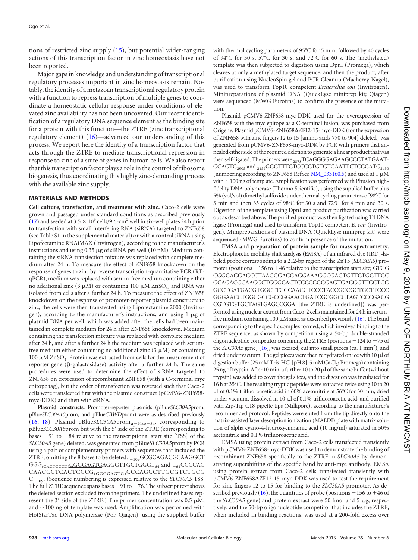tions of restricted zinc supply [\(15\)](#page-10-0), but potential wider-ranging actions of this transcription factor in zinc homeostasis have not been reported.

Major gaps in knowledge and understanding of transcriptional regulatory processes important in zinc homeostasis remain. Notably, the identity of a metazoan transcriptional regulatory protein with a function to repress transcription of multiple genes to coordinate a homeostatic cellular response under conditions of elevated zinc availability has not been uncovered. Our recent identification of a regulatory DNA sequence element as the binding site for a protein with this function—the ZTRE (zinc transcriptional regulatory element) [\(16\)](#page-10-1)—advanced our understanding of this process. We report here the identity of a transcription factor that acts through the ZTRE to mediate transcriptional repression in response to zinc of a suite of genes in human cells. We also report that this transcription factor plays a role in the control of ribosome biogenesis, thus coordinating this highly zinc-demanding process with the available zinc supply.

### **MATERIALS AND METHODS**

**Cell culture, transfection, and treatment with zinc.** Caco-2 cells were grown and passaged under standard conditions as described previously  $(17)$  and seeded at 3.5  $\times$  10<sup>5</sup> cells/9.6-cm<sup>2</sup> well in six-well plates 24 h prior to transfection with small interfering RNA (siRNA) targeted to ZNF658 (see Table S1 in the supplemental material) or with a control siRNA using Lipofectamine RNAiMAX (Invitrogen), according to the manufacturer's instructions and using  $0.35 \mu$ g of siRNA per well (10 nM). Medium containing the siRNA transfection mixture was replaced with complete medium after 24 h. To measure the effect of ZNF658 knockdown on the response of genes to zinc by reverse transcription-quantitative PCR (RTqPCR), medium was replaced with serum-free medium containing either no additional zinc (3  $\mu$ M) or containing 100  $\mu$ M ZnSO<sub>4</sub>, and RNA was isolated from cells after a further 24 h. To measure the effect of ZNF658 knockdown on the response of promoter-reporter plasmid constructs to zinc, the cells were then transfected using Lipofectamine 2000 (Invitrogen), according to the manufacturer's instructions, and using  $1 \mu$ g of plasmid DNA per well, which was added after the cells had been maintained in complete medium for 24 h after ZNF658 knockdown. Medium containing the transfection mixture was replaced with complete medium after 24 h, and after a further 24 h the medium was replaced with serumfree medium either containing no additional zinc  $(3 \mu M)$  or containing 100  $\mu$ M ZnSO<sub>4</sub>. Protein was extracted from cells for the measurement of reporter gene ( $\beta$ -galactosidase) activity after a further 24 h. The same procedures were used to determine the effect of siRNA targeted to ZNF658 on expression of recombinant ZNF658 (with a C-terminal myc epitope tag), but the order of transfection was reversed such that Caco-2 cells were transfected first with the plasmid construct (pCMV6-ZNF658 myc-DDK) and then with siRNA.

**Plasmid constructs.** Promoter-reporter plasmids (pBlue*SLC30A5*prom, pBlue*SLC30A10*prom, and pBlue*CBWD*prom) were as described previously [\(16,](#page-10-1) [18\)](#page-10-3). Plasmid pBlue*SLC30A5*prom<sub> $\Delta$ -91to-84</sub>, corresponding to pBlue*SLC30A5*prom but with the 5' side of the ZTRE (corresponding to bases  $-91$  to  $-84$  relative to the transcriptional start site [TSS] of the *SLC30A5* gene) deleted, was generated from pBlue*SLC30A5*prom by PCR using a pair of complementary primers with sequences that included the ZTRE, omitting the 8 bases to be deleted:  $_{-109}$ GCGCAGACGCAAGGCT  $GGG_{\rm (CACTCCCC)}$ CGGGAGTGAGGGTTGCTGGG<sub>-64</sub> and <sub>-64</sub>CCCCAG CAACCCTCACTCCCG<sub>(GGGGAGTG)</sub>CCCAGCCTTGCGTCTGCG C<sub>-109</sub>. (Sequence numbering is expressed relative to the *SLC30A5* TSS. The full ZTRE sequence spans bases  $-91$  to  $-76$ . The subscript text shows the deleted section excluded from the primers. The underlined bases represent the 3' side of the ZTRE.) The primer concentration was 0.5  $\mu$ M, and  $\sim$ 100 ng of template was used. Amplification was performed with HotStarTaq DNA polymerase (Pol; Qiagen), using the supplied buffer

with thermal cycling parameters of 95°C for 5 min, followed by 40 cycles of 94°C for 30 s, 57°C for 30 s, and 72°C for 60 s. The (methylated) template was then subjected to digestion using DpnI (Promega), which cleaves at only a methylated target sequence, and then the product, after purification using NucleoSpin gel and PCR Cleanup (Macherey-Nagel), was used to transform Top10 competent *Escherichia coli* (Invitrogen). Minipreparations of plasmid DNA (QuickLyse miniprep kit; Qiagen) were sequenced (MWG Eurofins) to confirm the presence of the mutation.

Plasmid pCMV6-ZNF658-myc-DDK used for the overexpression of ZNF658 with the myc epitope as a C-terminal fusion, was purchased from Origene. Plasmid pCMV6-ZNF658 $\Delta$ ZF12-15-myc-DDK (for the expression of ZNF658 with zinc fingers 12 to 15 [amino acids 770 to 904] deleted) was generated from pCMV6-ZNF658-myc-DDK by PCR with primers that annealed either side of the required deletion to generate a linear product that was then self-ligated. The primers were <sub>2878</sub>TCAGGGGAGAAGCCCTATGAAT-GCAGTG<sub>2905</sub> and <sub>2459</sub>GGGTTTCTCCCCTGTGTGAATTCTCCGATG<sub>2430</sub> (numbering according to ZNF658 RefSeq [NM\\_033160.5\)](http://www.ncbi.nlm.nih.gov/nuccore?term=NM_033160.5) and used at 1  $\upmu\text{M}$ with  $\sim$ 100 ng of template. Amplification was performed with Phusion highfidelity DNA polymerase (Thermo Scientific), using the supplied buffer plus 5% (vol/vol) dimethyl sulfoxide under thermal cycling parameters of 98°C for 3 min and then 35 cycles of 98°C for 30 s and 72°C for 4 min and 30 s. Digestion of the template using DpnI and product purification was carried out as described above. The purified product was then ligated using T4 DNA ligase (Promega) and used to transform Top10 competent *E. coli* (Invitrogen). Minipreparations of plasmid DNA (QuickLyse miniprep kit) were sequenced (MWG Eurofins) to confirm presence of the mutation.

**EMSA and preparation of protein sample for mass spectrometry.** Electrophoretic mobility shift analysis (EMSA) of an infrared dye (IRD)-labeled probe corresponding to a 212-bp region of the ZnT5 (*SLC30A5*) promoter (positions  $-156$  to  $+46$  relative to the transcription start site; GTGG CGGGAGGAGCCTAAGGGACGAGGAAAGGCGAGTGTTCTGCTTGC GCAGACGCAAGGCTGGGCACTCCCCCGGGAGTGAGGGTTGCTGG GCCTGATGACGTGGCTTGGCAACGTCCCTACCGCCGCTGCTTCCC GGGAACCTGGCGCCGCCGGAACTGATCGCGGCCTAGTCCCGACG CGTGTGTGCTAGTGAGCCGGA [the ZTRE is underlined]) was performed using nuclear extract from Caco-2 cells maintained for 24 h in serumfree medium containing 100  $\mu$ M zinc, as described previously [\(16\)](#page-10-1). The band corresponding to the specific complex formed, which involved binding to the ZTRE sequence, as shown by competition using a 50-bp double-stranded oligonucleotide competitor containing the ZTRE (positions  $-124$  to  $-75$  of the *SLC30A5* gene) [\(16\)](#page-10-1), was excised, cut into small pieces (ca. 1 mm<sup>2</sup>), and dried under vacuum. The gel pieces were then rehydrated on ice with 10  $\mu$ l of digestion buffer (25 mM Tris-HCl [pH 8], 5 mM CaCl<sub>2</sub>; Promega) containing 25 ng of trypsin. After 10 min, a further 10 to 20  $\mu$ l of the same buffer (without trypsin) was added to cover the gel slices, and the digestion was incubated for 16 h at 35°C. The resulting tryptic peptides were extracted twice using 10 to 20 l of 0.1% trifluoroacetic acid in 60% acetonitrile at 56°C for 30 min, dried under vacuum, dissolved in 10  $\mu$ l of 0.1% trifluoroacetic acid, and purified with Zip-Tip C18 pipette tips (Millipore), according to the manufacturer's recommended protocol. Peptides were eluted from the tip directly onto the matrix-assisted laser desorption ionization (MALDI) plate with matrix solution of alpha cyano-4-hydroxycinnamic acid (10 mg/ml) saturated in 50% acetonitrile and 0.1% trifluoroacetic acid.

EMSA using protein extract from Caco-2 cells transfected transiently with pCMV6-ZNF658-myc-DDK was used to demonstrate the binding of recombinant ZNF658 specifically to the ZTRE in *SLC30A5* by demonstrating supershifting of the specific band by anti-myc antibody. EMSA using protein extract from Caco-2 cells transfected transiently with pCMV6-ZNF658 $\Delta$ ZF12-15-myc-DDK was used to test the requirement for zinc fingers 12 to 15 for binding to the *SLC30A5* promoter. As de-scribed previously [\(16\)](#page-10-1), the quantities of probe (positions  $-156$  to  $+46$  of the *SLC30A5* gene) and protein extract were 50 fmol and 5  $\mu$ g, respectively, and the 50-bp oligonucleotide competitor that includes the ZTRE, when included in binding reactions, was used at a 200-fold excess over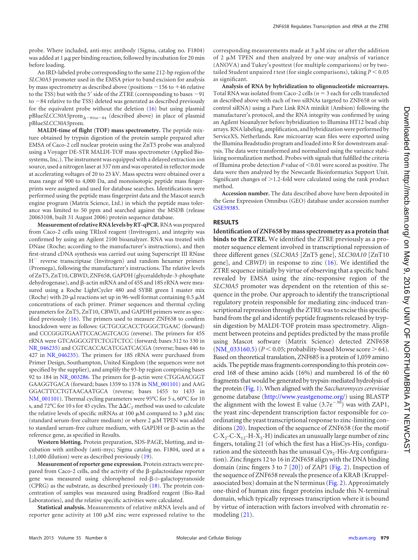probe. Where included, anti-myc antibody (Sigma, catalog no. F1804) was added at 1 µg per binding reaction, followed by incubation for 20 min before loading.

An IRD-labeled probe corresponding to the same 212-bp region of the *SLC30A5* promoter used in the EMSA prior to band excision for analysis by mass spectrometry as described above (positions  $-156$  to  $+46$  relative to the TSS) but with the 5' side of the ZTRE (corresponding to bases  $-91$ to  $-84$  relative to the TSS) deleted was generated as described previously for the equivalent probe without the deletion [\(16\)](#page-10-1) but using plasmid pBlue*SLCC30A5*prom<sub> $\Delta-91$ to-84 (described above) in place of plasmid</sub> pBlue*SLCC30A5*prom.

<span id="page-3-0"></span>**MALDI-time of flight (TOF) mass spectrometry.** The peptide mixture obtained by trypsin digestion of the protein sample prepared after EMSA of Caco-2 cell nuclear protein using the ZnT5 probe was analyzed using a Voyager DE-STR MALDI-TOF mass spectrometer (Applied Biosystems, Inc.). The instrument was equipped with a delayed extraction ion source, used a nitrogen laser at 337 nm and was operated in reflector mode at accelerating voltages of 20 to 25 kV. Mass spectra were obtained over a mass range of 900 to 4,000 Da, and monoisotopic peptide mass fingerprints were assigned and used for database searches. Identifications were performed using the peptide mass fingerprint data and the Mascot search engine program (Matrix Science, Ltd.) in which the peptide mass tolerance was limited to 50 ppm and searched against the MSDB (release 20063108, built 31 August 2006) protein sequence database.

**Measurement of relative RNA levels by RT-qPCR.**RNA was prepared from Caco-2 cells using TRIzol reagent (Invitrogen), and integrity was confirmed by using an Agilent 2100 bioanalyzer. RNA was treated with DNase (Roche; according to the manufacturer's instructions), and then first-strand cDNA synthesis was carried out using Superscript III RNase H<sup>-</sup> reverse transcriptase (Invitrogen) and random hexamer primers (Promega), following the manufacturer's instructions. The relative levels of ZnT5, ZnT10, CBWD, ZNF658, GAPDH (glyceraldehyde-3-phosphate dehydrogenase), and  $\beta$ -actin mRNA and of 45S and 18S rRNA were measured using a Roche LightCycler 480 and SYBR green I master mix (Roche) with 20- $\mu$ l reactions set up in 96-well format containing 0.5  $\mu$ M concentrations of each primer. Primer sequences and thermal cycling parameters for ZnT5, ZnT10, CBWD, and GAPDH primers were as specified previously [\(16\)](#page-10-1). The primers used to measure ZNF658 to confirm knockdown were as follows: GCTGCGCACCTGGGCTGAAC (forward) and CCCGGGTGAATTCCACAGTCACG (reverse). The primers for 45S rRNA were GTCAGGCGTTCTCGTCTCC (forward; bases 312 to 330 in [NR\\_046235\)](http://www.ncbi.nlm.nih.gov/nuccore?term=NR_046235) and CGTCACCACATCGATCACGA (reverse; bases 446 to 427 in [NR\\_046235\)](http://www.ncbi.nlm.nih.gov/nuccore?term=NR_046235). The primers for 18S rRNA were purchased from Primer Design, Southampton, United Kingdom (the sequences were not specified by the supplier), and amplify the 93-bp region comprising bases 92 to 184 in [NR\\_003286.](http://www.ncbi.nlm.nih.gov/nuccore?term=NR_003286) The primers for β-actin were CTGGAACGGT GAAGGTGACA (forward; bases 1359 to 1378 in [NM\\_001101\)](http://www.ncbi.nlm.nih.gov/nuccore?term=NM_001101) and AAG GGACTTCCTGTAACAATGCA (reverse; bases 1455 to 1433 in [NM\\_001101\)](http://www.ncbi.nlm.nih.gov/nuccore?term=NM_001101). Thermal cycling parameters were 95°C for 5 s, 60°C for 10 s, and 72°C for 10 s for 45 cycles. The  $\Delta\Delta C_T$  method was used to calculate the relative levels of specific mRNAs at 100  $\mu$ M compared to 3  $\mu$ M zinc (standard serum-free culture medium) or where  $2 \mu M$  TPEN was added to standard serum-free culture medium, with GAPDH or  $\beta$ -actin as the reference gene, as specified in Results.

**Western blotting.** Protein preparation, SDS-PAGE, blotting, and incubation with antibody (anti-myc; Sigma catalog no. F1804, used at a 1:1,000 dilution) were as described previously [\(19\)](#page-10-4).

<span id="page-3-1"></span>**Measurement of reporter gene expression.** Protein extracts were prepared from Caco-2 cells, and the activity of the  $\beta$ -galactosidase reporter gene was measured using chlorophenol red- $\beta$ -D-galactopyranoside (CPRG) as the substrate, as described previously [\(18\)](#page-10-3). The protein concentration of samples was measured using Bradford reagent (Bio-Rad Laboratories), and the relative specific activities were calculated.

**Statistical analysis.** Measurements of relative mRNA levels and of reporter gene activity at 100  $\mu$ M zinc were expressed relative to the

corresponding measurements made at  $3 \mu$ M zinc or after the addition of 2  $\mu$ M TPEN and then analyzed by one-way analysis of variance (ANOVA) and Tukey's posttest (for multiple comparisons) or by twotailed Student unpaired *t* test (for single comparisons), taking  $P < 0.05$ as significant.

**Analysis of RNA by hybridization to oligonucleotide microarrays.** Total RNA was isolated from Caco-2 cells ( $n = 3$  each for cells transfected as described above with each of two siRNAs targeted to ZNF658 or with control siRNA) using a Pure Link RNA minikit (Ambion) following the manufacturer's protocol, and the RNA integrity was confirmed by using an Agilent bioanalyzer before hybridization to Illumina HT12 bead chip arrays. RNA labeling, amplification, and hybridization were performed by ServiceXS, Netherlands. Raw microarray scan files were exported using the Illumina Beadstudio program and loaded into R for downstream analysis. The data were transformed and normalized using the variance stabilizing normalization method. Probes with signals that fulfilled the criteria of Illumina probe detection *P* value of <0.01 were scored as positive. The data were then analyzed by the Newcastle Bioinformatics Support Unit. Significant changes of  $>$  1.2-fold were calculated using the rank product method.

**Accession number.** The data described above have been deposited in the Gene Expression Omnibus (GEO) database under accession number [GSE59385.](http://www.ncbi.nlm.nih.gov/geo/query/acc.cgi?acc=GSE59385)

#### **RESULTS**

**Identification of ZNF658 by mass spectrometry as a protein that binds to the ZTRE.** We identified the ZTRE previously as a promoter sequence element involved in transcriptional repression of three different genes (*SLC30A5* [ZnT5 gene], *SLC30A10* [ZnT10 gene], and *CBWD*) in response to zinc [\(16\)](#page-10-1). We identified the ZTRE sequence initially by virtue of observing that a specific band revealed by EMSA using the zinc-responsive region of the *SLC30A5* promoter was dependent on the retention of this sequence in the probe. Our approach to identify the transcriptional regulatory protein responsible for mediating zinc-induced transcriptional repression through the ZTRE was to excise this specific band from the gel and identify peptide fragments released by trypsin digestion by MALDI-TOF protein mass spectrometry. Alignment between proteins and peptides predicted by the mass profile using Mascot software (Matrix Science) detected ZNF658  $(NM_033160.5)$   $(P < 0.05$ ; probability-based Mowse score  $> 64$ ). Based on theoretical translation, ZNF685 is a protein of 1,059 amino acids. The peptide mass fragments corresponding to this protein covered 168 of these amino acids (16%) and numbered 16 of the 60 fragments that would be generated by trypsin-mediated hydrolysis of the protein [\(Fig. 1\)](#page-3-0). When aligned with the *Saccharomyces cerevisiae* genome database [\(http://www.yeastgenome.org/\)](http://www.yeastgenome.org/) using BLASTP the alignment with the lowest E value  $(3.7e^{-30})$  was with ZAP1, the yeast zinc-dependent transcription factor responsible for coordinating the yeast transcriptional response to zinc-limiting conditions [\(20\)](#page-10-5). Inspection of the sequence of ZNF658 (for the motif  $C-X_2-C-X_{12}$ -H- $X_3$ -H) indicates an unusually large number of zinc fingers, totaling 21 (of which the first has a HisCys-His<sub>2</sub> configuration and the sixteenth has the unusual  $\text{Cys}_2\text{-}\text{His-Arg}$  configuration). Zinc fingers 12 to 16 in ZNF658 align with the DNA binding domain (zinc fingers 3 to 7 [\[20\]](#page-10-5)) of ZAP1 [\(Fig. 2\)](#page-3-1). Inspection of the sequence of ZNF658 reveals the presence of a KRAB (Kruppelassociated box) domain at the N terminus [\(Fig. 2\)](#page-3-1). Approximately one-third of human zinc finger proteins include this N-terminal domain, which typically represses transcription where it is bound by virtue of interaction with factors involved with chromatin remodeling [\(21\)](#page-10-6).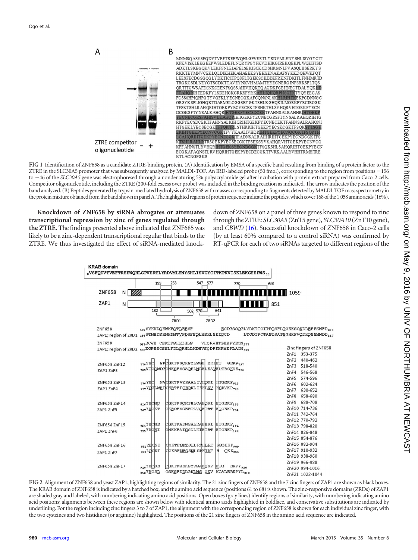

**FIG 1** Identification of ZNF658 as a candidate ZTRE-binding protein. (A) Identification by EMSA of a specific band resulting from binding of a protein factor to the ZTRE in the SLC30A5 promoter that was subsequently analyzed by MALDI-TOF. An IRD-labeled probe (50 fmol), corresponding to the region from positions 156 to 46 of the *SLC30A5* gene was electrophoresed through a nondenaturing 5% polyacrylamide gel after incubation with protein extract prepared from Caco-2 cells. Competitor oligonucleotide, including the ZTRE (200-fold excess over probe) was included in the binding reaction as indicated. The arrow indicates the position of the band analyzed. (B) Peptides generated by trypsin-mediated hydrolysis of ZNF658 with masses corresponding to fragments detected by MALDI-TOF mass spectrometry in the protein mixture obtained from the band shown in panel A. The highlighted regions of protein sequence indicate the peptides, which cover 168 of the 1,058 amino acids (16%).

**Knockdown of ZNF658 by siRNA abrogates or attenuates transcriptional repression by zinc of genes regulated through the ZTRE.** The findings presented above indicated that ZNF685 was likely to be a zinc-dependent transcriptional regular that binds to the ZTRE. We thus investigated the effect of siRNA-mediated knockdown of ZNF658 on a panel of three genes known to respond to zinc through the ZTRE: *SLC30A5* (ZnT5 gene), *SLC30A10* (ZnT10 gene), and *CBWD* [\(16\)](#page-10-1). Successful knockdown of ZNF658 in Caco-2 cells (by at least 60% compared to a control siRNA) was confirmed by RT-qPCR for each of two siRNAs targeted to different regions of the



<span id="page-4-0"></span>**FIG 2** Alignment of ZNF658 and yeast ZAP1, highlighting regions of similarity. The 21 zinc fingers of ZNF658 and the 7 zinc fingers of ZAP1 are shown as black boxes. The KRAB domain of ZNF658 is indicated by a hatched box, and the amino acid sequence (positions 61 to 68) is shown. The zinc-responsive domains (ZRDs) of ZAP1 are shaded gray and labeled, with numbering indicating amino acid positions. Open boxes (gray lines) identify regions of similarity, with numbering indicating amino acid positions; alignments between these regions are shown below with identical amino acids highlighted in boldface, and conservative substitutions are indicated by underlining. For the region including zinc fingers 3 to 7 of ZAP1, the alignment with the corresponding region of ZNF658 is shown for each individual zinc finger, with the two cysteines and two histidines (or arginine) highlighted. The positions of the 21 zinc fingers of ZNF658 in the amino acid sequence are indicated.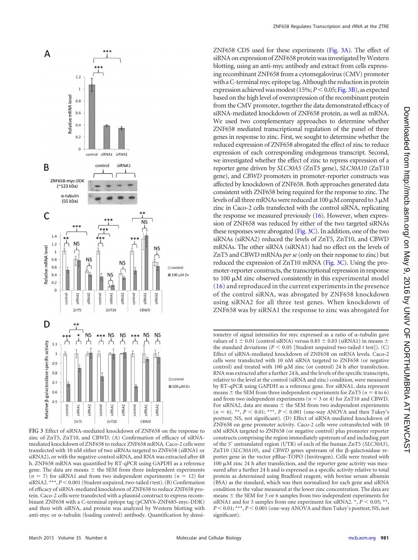<span id="page-5-0"></span>

**FIG 3** Effect of siRNA-mediated knockdown of ZNF658 on the response to zinc of ZnT5, ZnT10, and CBWD. (A) Confirmation of efficacy of siRNAmediated knockdown of ZNF658 to reduce ZNF658 mRNA. Caco-2 cells were transfected with 10 nM either of two siRNAs targeted to ZNF658 (siRNA1 or siRNA2), or with the negative-control siRNA, and RNA was extracted after 48 h. ZNF658 mRNA was quantified by RT-qPCR using GAPDH as a reference gene. The data are means  $\pm$  the SEM from three independent experiments  $(n = 7)$  for siRNA1 and from two independent experiments  $(n = 12)$  for siRNA2. \*\*\*,  $P$  < 0.001 (Student unpaired, two-tailed t test). (B) Confirmation of efficacy of siRNA-mediated knockdown of ZNF658 to reduce ZNF658 protein. Caco-2 cells were transfected with a plasmid construct to express recombinant ZNF658 with a C-terminal epitope tag (pCMV6-ZNF685-myc-DDK) and then with siRNA, and protein was analyzed by Western blotting with anti-myc or  $\alpha$ -tubulin (loading control) antibody. Quantification by densi-

<span id="page-5-1"></span>ZNF658 CDS used for these experiments [\(Fig. 3A\)](#page-4-0). The effect of siRNA on expression of ZNF658 protein was investigated by Western blotting, using an anti-myc antibody and extract from cells expressing recombinant ZNF658 from a cytomegalovirus (CMV) promoter with a C-terminal myc epitope tag. Although the reduction in protein expression achieved was modest (15%;  $P \le 0.05$ ; [Fig. 3B\)](#page-4-0), as expected based on the high level of overexpression of the recombinant protein from the CMV promoter, together the data demonstrated efficacy of siRNA-mediated knockdown of ZNF658 protein, as well as mRNA. We used two complementary approaches to determine whether ZNF658 mediated transcriptional regulation of the panel of three genes in response to zinc. First, we sought to determine whether the reduced expression of ZNF658 abrogated the effect of zinc to reduce expression of each corresponding endogenous transcript. Second, we investigated whether the effect of zinc to repress expression of a reporter gene driven by *SLC30A5* (ZnT5 gene), *SLC30A10* (ZnT10 gene), and *CBWD* promoters in promoter-reporter constructs was affected by knockdown of ZNF658. Both approaches generated data consistent with ZNF658 being required for the response to zinc. The levels of all three mRNAs were reduced at 100  $\mu$ M compared to 3  $\mu$ M zinc in Caco-2 cells transfected with the control siRNA, replicating the response we measured previously [\(16\)](#page-10-1). However, when expression of ZNF658 was reduced by either of the two targeted siRNAs these responses were abrogated [\(Fig. 3C\)](#page-4-0). In addition, one of the two siRNAs (siRNA2) reduced the levels of ZnT5, ZnT10, and CBWD mRNAs. The other siRNA (siRNA1) had no effect on the levels of ZnT5 and CBWD mRNAs *per se*(only on their response to zinc) but reduced the expression of ZnT10 mRNA [\(Fig. 3C\)](#page-4-0). Using the promoter-reporter constructs, the transcriptional repression in response to  $100 \mu$ M zinc observed consistently in this experimental model [\(16\)](#page-10-1) and reproduced in the current experiments in the presence of the control siRNA, was abrogated by ZNF658 knockdown using siRNA2 for all three test genes. When knockdown of ZNF658 was by siRNA1 the response to zinc was abrogated for

tometry of signal intensities for myc expressed as a ratio of  $\alpha$ -tubulin gave values of  $1 \pm 0.01$  (control siRNA) versus 0.85  $\pm$  0.03 (siRNA1) in means  $\pm$ the standard deviations ( $P \le 0.05$  [Student unpaired two-tailed *t* test]). (C) Effect of siRNA-mediated knockdown of ZNF658 on mRNA levels. Caco-2 cells were transfected with 10 nM siRNA targeted to ZNF658 (or negative control) and treated with 100  $\mu$ M zinc (or control) 24 h after transfection. RNA was extracted after a further 24 h, and the levels of the specific transcripts, relative to the level at the control (siRNA and zinc) condition, were measured by RT-qPCR using GAPDH as a reference gene. For siRNA1, data represent means  $\pm$  the SEM from three independent experiments for ZnT5 ( $n = 4$  to 6) and from two independent experiments ( $n = 3$  or 4) for ZnT10 and CBWD. For siRNA2, data are means  $\pm$  the SEM from two independent experiments  $(n = 6)$ . \*\*,  $P < 0.01$ ; \*\*\*,  $P < 0.001$  (one-way ANOVA and then Tukey's posttest; NS, not significant). (D) Effect of siRNA-mediated knockdown of ZNF658 on gene promoter activity. Caco-2 cells were cotransfected with 10 nM siRNA targeted to ZNF658 (or negative control) plus promoter reporter constructs comprising the region immediately upstream of and including part of the 5= untranslated region (UTR) of each of the human ZnT5 (*SLC30A5*), ZnT10 (*SLC30A10*), and *CBWD* genes upstream of the  $\beta$ -galactosidase reporter gene in the vector pBlue-TOPO (Invitrogen). Cells were treated with  $100 \mu$ M zinc 24 h after transfection, and the reporter gene activity was measured after a further 24 h and is expressed as a specific activity relative to total protein as determined using Bradford reagent, with bovine serum albumin (BSA) as the standard, which was then normalized for each gene and siRNA condition to the value measured at the lower zinc concentration. The data are means  $\pm$  the SEM for 5 or 6 samples from two independent experiments for siRNA1 and for 3 samples from one experiment for siRNA2.  $\overline{\cdot}$ ,  $P$  < 0.05;  $\overline{\cdot}$ \*, *P* < 0.01; \*\*\*, *P* < 0.001 (one-way ANOVA and then Tukey's posttest; NS, not significant).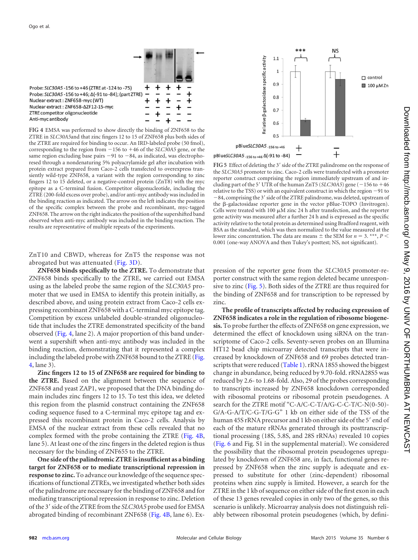

<span id="page-6-0"></span>Probe: SLC30A5 -156 to +46 (ZTRE at -124 to -75) Probe: SLC30A5 -156 to +46; Δ(-91 to -84); (part ZTRE) Nuclear extract: ZNF658-myc (WT) Nuclear extract: ZNF658-AZF12-15-mvc ZTRE competitor oligonucleotide Anti-myc antibody

**FIG 4** EMSA was performed to show directly the binding of ZNF658 to the ZTRE in *SLC30A5*and that zinc fingers 12 to 15 of ZNF658 plus both sides of the ZTRE are required for binding to occur. An IRD-labeled probe (50 fmol), corresponding to the region from 156 to 46 of the *SLC30A5* gene, or the same region excluding base pairs  $-91$  to  $-84$ , as indicated, was electrophoresed through a nondenaturing 5% polyacrylamide gel after incubation with protein extract prepared from Caco-2 cells transfected to overexpress transiently wild-type ZNF658, a variant with the region corresponding to zinc fingers 12 to 15 deleted, or a negative-control protein (ZnT8) with the myc epitope as a C-terminal fusion. Competitor oligonucleotide, including the ZTRE (200-fold excess over probe), and/or anti-myc antibody was included in the binding reaction as indicated. The arrow on the left indicates the position of the specific complex between the probe and recombinant, myc-tagged ZNF658. The arrow on the right indicates the position of the supershifted band observed when anti-myc antibody was included in the binding reaction. The results are representative of multiple repeats of the experiments.

ZnT10 and CBWD, whereas for ZnT5 the response was not abrogated but was attenuated [\(Fig. 3D\)](#page-4-0).

**ZNF658 binds specifically to the ZTRE.** To demonstrate that ZNF658 binds specifically to the ZTRE, we carried out EMSA using as the labeled probe the same region of the *SLC30A5* promoter that we used in EMSA to identify this protein initially, as described above, and using protein extract from Caco-2 cells expressing recombinant ZNF658 with a C-terminal myc epitope tag. Competition by excess unlabeled double-stranded oligonucleotide that includes the ZTRE demonstrated specificity of the band observed [\(Fig. 4,](#page-5-0) lane 2). A major proportion of this band underwent a supershift when anti-myc antibody was included in the binding reaction, demonstrating that it represented a complex including the labeled probe with ZNF658 bound to the ZTRE [\(Fig.](#page-5-0) [4,](#page-5-0) lane 3).

**Zinc fingers 12 to 15 of ZNF658 are required for binding to the ZTRE.** Based on the alignment between the sequence of ZNF658 and yeast ZAP1, we proposed that the DNA binding domain includes zinc fingers 12 to 15. To test this idea, we deleted this region from the plasmid construct containing the ZNF658 coding sequence fused to a C-terminal myc epitope tag and expressed this recombinant protein in Caco-2 cells. Analysis by EMSA of the nuclear extract from these cells revealed that no complex formed with the probe containing the ZTRE [\(Fig. 4B,](#page-5-0) lane 5). At least one of the zinc fingers in the deleted region is thus necessary for the binding of ZNF655 to the ZTRE.

**One side of the palindromic ZTRE is insufficient as a binding target for ZNF658 or to mediate transcriptional repression in response to zinc.** To advance our knowledge of the sequence specifications of functional ZTREs, we investigated whether both sides of the palindrome are necessary for the binding of ZNF658 and for mediating transcriptional repression in response to zinc. Deletion of the 3' side of the ZTRE from the *SLC30A5* probe used for EMSA abrogated binding of recombinant ZNF658 [\(Fig. 4B,](#page-5-0) lane 6). Ex-



FIG 5 Effect of deleting the 3' side of the ZTRE palindrome on the response of the *SLC30A5* promoter to zinc. Caco-2 cells were transfected with a promoter reporter construct comprising the region immediately upstream of and including part of the 5<sup> $\prime$ </sup> UTR of the human ZnT5 (*SLC30A5*) gene ( $-156$  to  $+46$ relative to the TSS) or with an equivalent construct in which the region  $-91$  to 84, comprising the 3' side of the ZTRE palindrome, was deleted, upstream of the  $\beta$ -galactosidase reporter gene in the vector pBlue-TOPO (Invitrogen). Cells were treated with 100  $\mu$ M zinc 24 h after transfection, and the reporter gene activity was measured after a further 24 h and is expressed as the specific activity relative to the total protein as determined using Bradford reagent, with BSA as the standard, which was then normalized to the value measured at the lower zinc concentration. The data are means  $\pm$  the SEM for  $n = 3$ . \*\*\*,  $P \leq$ 0.001 (one-way ANOVA and then Tukey's posttest; NS, not significant).

pression of the reporter gene from the *SLC30A5* promoter-reporter construct with the same region deleted became unresponsive to zinc [\(Fig. 5\)](#page-5-1). Both sides of the ZTRE are thus required for the binding of ZNF658 and for transcription to be repressed by zinc.

**The profile of transcripts affected by reducing expression of ZNF658 indicates a role in the regulation of ribosome biogenesis.** To probe further the effects of ZNF658 on gene expression, we determined the effect of knockdown using siRNA on the transcriptome of Caco-2 cells. Seventy-seven probes on an Illumina HT12 bead chip microarray detected transcripts that were increased by knockdown of ZNF658 and 69 probes detected tran-scripts that were reduced [\(Table 1\)](#page-6-0). rRNA 18S5 showed the biggest change in abundance, being reduced by 9.70-fold. rRNA28S5 was reduced by 2.6- to 1.68-fold. Also, 29 of the probes corresponding to transcripts increased by ZNF658 knockdown corresponded with ribosomal proteins or ribosomal protein pseudogenes. A search for the ZTRE motif "C-A/C-C-T/A/G-C-C-T/C-N(0-50)- G/A-G-A/T/C-G-T/G-G" 1 kb on either side of the TSS of the human 45S rRNA precursor and 1 kb on either side of the 5' end of each of the mature rRNAs generated through its posttranscriptional processing (18S, 5.8S, and 28S rRNAs) revealed 10 copies [\(Fig. 6](#page-7-0) and Fig. S1 in the supplemental material). We considered the possibility that the ribosomal protein pseudogenes upregulated by knockdown of ZNF658 are, in fact, functional genes repressed by ZNF658 when the zinc supply is adequate and expressed to substitute for other (zinc-dependent) ribosomal proteins when zinc supply is limited. However, a search for the ZTRE in the 1 kb of sequence on either side of the first exon in each of these 13 genes revealed copies in only two of the genes, so this scenario is unlikely. Microarray analysis does not distinguish reliably between ribosomal protein pseudogenes (which, by defini-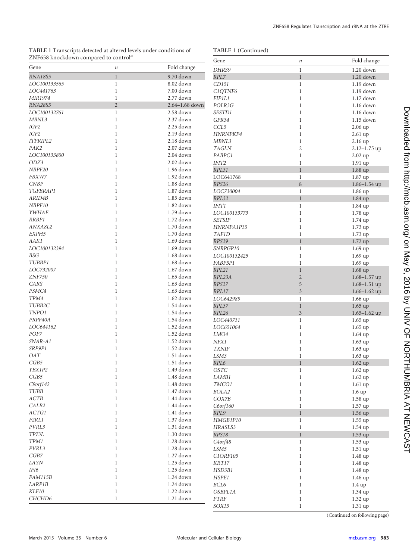**TABLE 1** Transcripts detected at altered levels under conditions of ZNF658 knockdown compared to control*<sup>a</sup>*

|  | TABLE 1 (Continued) |
|--|---------------------|
|--|---------------------|

| ZNF658 knockdown compared to control" |                  |                          | Gene                             | $\it n$                 | Fold change       |
|---------------------------------------|------------------|--------------------------|----------------------------------|-------------------------|-------------------|
| Gene                                  | $\boldsymbol{n}$ | Fold change              | DHRS9                            | $\mathbf{1}$            | $1.20$ down       |
| <b>RNA18S5</b>                        | $\mathbf{1}$     | 9.70 down                | RPL7                             | $\,1$                   | $1.20$ down       |
| LOC100133565                          | $\mathbf{1}$     | 8.02 down                | CD151                            | $\mathbf{1}$            | 1.19 down         |
| LOC441763                             | $\mathbf{1}$     | 7.00 down                | C1QTNF6                          | $\mathbf{1}$            | $1.19$ down       |
| MIR1974                               | $\mathbf{1}$     | 2.77 down                | FIP1L1                           | $\mathbf{1}$            | $1.17$ down       |
| <b>RNA28S5</b>                        | $\overline{2}$   | 2.64-1.68 down           | POLR3G                           | $\mathbf{1}$            | $1.16$ down       |
| LOC100132761                          | $\mathbf{1}$     | 2.58 down                | SESTD1                           | $\mathbf{1}$            | 1.16 down         |
| MBNL3                                 | $\mathbf{1}$     | 2.37 down                | GPR34                            | $\mathbf{1}$            | $1.15$ down       |
| IGF2                                  | $\mathbf{1}$     | 2.25 down                | CCL5                             | $\mathbf{1}$            | $2.06$ up         |
| IGF2                                  | $\mathbf{1}$     | 2.19 down                | HNRNPKP4                         | $\mathbf{1}$            | 2.61 up           |
| ITPRIPL2                              | $\mathbf{1}$     | 2.18 down                | MBNL3                            | $\mathbf{1}$            | 2.16 up           |
| PAK2                                  | $\mathbf{1}$     | 2.07 down                | <b>TAGLN</b>                     | $\overline{c}$          | $2.12 - 1.75$ up  |
| LOC100133800                          | $\mathbf{1}$     | 2.04 down                | PABPC1                           | $\mathbf{1}$            | 2.02 up           |
| ODZ3                                  | $\mathbf{1}$     | 2.02 down                | IFIT2                            | $\mathbf{1}$            | $1.91$ up         |
| NBPF20                                | $\mathbf{1}$     | $1.96$ down              | RPL31                            | $\mathbf{1}$            | $1.88$ up         |
| FBXW7                                 | $\mathbf{1}$     | $1.92$ down              | LOC641768                        | $\mathbf{1}$            | 1.87 up           |
| <b>CNBP</b>                           | $\mathbf{1}$     | 1.88 down                | RPS26                            | $\,8\,$                 | $1.86 - 1.54$ up  |
| TGFBRAP1                              | $\mathbf{1}$     | $1.87$ down              | LOC730004                        | $\mathbf{1}$            | $1.86 \text{ up}$ |
| ARID4B                                | $\mathbf{1}$     | 1.85 down                | RPL32                            | $\mathbf{1}$            | $1.84$ up         |
| NBPF10                                | $\mathbf{1}$     | 1.82 down                | <b>IFIT1</b>                     | $\mathbf{1}$            | 1.84 up           |
| YWHAE                                 | $\mathbf{1}$     | $1.79$ down              | LOC100133773                     | $\mathbf{1}$            | $1.78$ up         |
| RRBP1                                 | $\mathbf{1}$     | 1.72 down                | <b>SETSIP</b>                    | $\mathbf{1}$            | $1.74$ up         |
| ANXA8L2                               | $\mathbf{1}$     | $1.70$ down              | HNRNPA1P35                       | $\mathbf{1}$            | $1.73$ up         |
| EXPH5                                 | $\mathbf{1}$     | $1.70$ down              | <b>TAF1D</b>                     | $\mathbf{1}$            | 1.73 up           |
| AAK1                                  | $\mathbf{1}$     | $1.69$ down              | RPS29                            | $\mathbf{1}$            | $1.72$ up         |
| LOC100132394                          | $\mathbf{1}$     | $1.69$ down              | SNRPGP10                         | $\mathbf{1}$            | 1.69 up           |
| <b>BSG</b>                            | $\mathbf{1}$     | $1.68$ down              | LOC100132425                     | $\,1$                   | $1.69$ up         |
| TUBBP1                                | $\mathbf{1}$     | $1.68$ down              | FABP5P1                          | $\mathbf{1}$            | $1.69$ up         |
| LOC732007                             | $\mathbf{1}$     | $1.67$ down              | RPL21                            | $\mathbf{1}$            | $1.68$ up         |
| <b>ZNF750</b>                         | $\mathbf{1}$     | $1.65$ down              | RPL23A                           | $\sqrt{2}$              | $1.68 - 1.57$ up  |
| CARS                                  | $\mathbf{1}$     | $1.63$ down              | RPS27                            | $\mathbf 5$             | $1.68 - 1.51$ up  |
| PSMC4                                 | $\mathbf{1}$     | $1.63$ down              | RPL17                            | $\overline{\mathbf{3}}$ | $1.66 - 1.62$ up  |
| TPM4                                  | $\mathbf{1}$     | $1.62$ down              | LOC642989                        | $\mathbf{1}$            | $1.66$ up         |
| TUBB2C                                | $\mathbf{1}$     | $1.54$ down              | RPL37                            | $\,1$                   | $1.65$ up         |
| TNPO1                                 | $\mathbf{1}$     | $1.54$ down              | RPL26                            | $\overline{3}$          | $1.65 - 1.62$ up  |
| PRPF40A                               | $\mathbf{1}$     | 1.54 down                | LOC440731                        | $\,1$                   | $1.65$ up         |
| LOC644162                             | $\mathbf{1}$     | $1.52$ down              | LOC651064                        | $\mathbf{1}$            | $1.65$ up         |
| POP7                                  | $\mathbf{1}$     | $1.52$ down              | LMO4                             | $\mathbf{1}$            | $1.64$ up         |
| SNAR-A1                               | $\mathbf{1}$     | $1.52$ down              | NFX1                             | $\mathbf{1}$            | $1.63$ up         |
| SRP9P1                                | $\mathbf{1}$     | 1.52 down                | <b>TXNIP</b>                     | $\mathbf{1}$            | $1.63$ up         |
| <b>OAT</b>                            | $\mathbf{1}$     | $1.51$ down              | LSM3                             | $\mathbf{1}$            | $1.63$ up         |
| CGB5                                  | $\mathbf{1}$     | $1.51$ down              | RPL6                             | $\mathbf{1}$            | $1.62$ up         |
| YBX1P2                                | $\mathbf{1}$     | 1.49 down                | <b>OSTC</b>                      | $\mathbf{1}$            | $1.62$ up         |
| $\cal CGB5$                           | $\mathbf 1$      | 1.48 down                | LAMB1                            | $\,1\,$                 | 1.62 up           |
| $C9$ orf $142$                        | 1                | 1.48 down                | TMCO1                            | $\mathbf{1}$            | $1.61$ up         |
| $TUBB$                                | $\mathbf{1}$     | 1.47 down                | BOLA2                            | $\mathbf{1}$            | 1.6up             |
| $\boldsymbol{ACTB}$                   | $\mathbf{1}$     | 1.44 down                | COX7B                            | $\,1$                   | 1.58 up           |
| CALB2                                 | $\mathbf{1}$     | 1.44 down                | $C6$ orf $160$                   | $\,1$                   | 1.57 up           |
| ACTG1                                 | $\mathbf{1}$     | $1.41$ down              | RPL9                             | $\mathbf{1}$            | $1.56$ up         |
| F2RL1                                 | $\mathbf{1}$     | 1.37 down                | HMGB1P10                         | $\mathbf{1}$            | $1.55$ up         |
| $PVRL3$                               | $\mathbf{1}$     | $1.31$ down<br>1.30 down | HRASLS3                          | $\,1\,$                 | 1.54 up           |
| $TP73L$                               | $\mathbf{1}$     |                          | RPS18                            | $\mathbf{1}$            | $1.53$ up         |
| TPM1<br>PVRL3                         | $\mathbf{1}$     | 1.28 down                | C <sub>4</sub> orf <sub>48</sub> | $\,1$                   | $1.53$ up         |
|                                       | $\mathbf{1}$     | 1.28 down                | LSM5                             | $\,1$                   | $1.51$ up         |
| $CGB7$                                | $\mathbf{1}$     | $1.27$ down              | C1ORF105                         | $\mathbf{1}$            | 1.48 up           |
| LAYN                                  | $\mathbf{1}$     | $1.25$ down              | $\operatorname{KRT17}$           | $\,1$                   | 1.48 up           |
| IFI6                                  | $\mathbf{1}$     | $1.25$ down              | HSD3B1                           | $\mathbf 1$             | 1.48 up           |
| FAM115B                               | 1                | 1.24 down                | HSPE1                            | $\mathbf 1$             | $1.46 \text{ up}$ |
| LARP1B                                | $\mathbf{1}$     | 1.24 down                | $BCL6$                           | $\mathbf{1}$            | $1.4 \text{ up}$  |
| $K \! L \! F \! I \mathit{0}$         | $\mathbf{1}$     | 1.22 down                | OSBPL1A                          | $\mathbf 1$             | 1.34 up           |
| CHCHD6                                | $\mathbf{1}$     | $1.21$ down              | <b>PTRF</b>                      | $\mathbf 1$             | 1.32 up           |
|                                       |                  |                          | SOX15                            | $\mathbf{1}$            | 1.31 up           |

<span id="page-7-0"></span>(Continued on following page)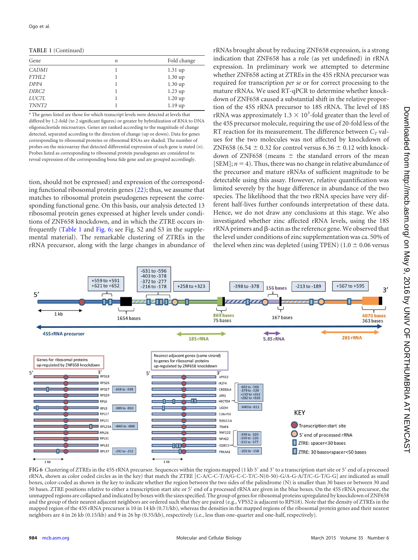**TABLE 1** (Continued)

| Gene              | $\boldsymbol{n}$ | Fold change       |
|-------------------|------------------|-------------------|
| CADM1             |                  | $1.31$ up         |
| FTHL2             |                  | $1.30 \text{ up}$ |
| DPP4              |                  | $1.30 \text{ up}$ |
| DIRC2             |                  | $1.23$ up         |
| <i>LUC7L</i>      |                  | $1.20 \text{ up}$ |
| TNNT <sub>2</sub> |                  | 1.19up            |

*<sup>a</sup>* The genes listed are those for which transcript levels were detected at levels that differed by 1.2-fold (to 2 significant figures) or greater by hybridization of RNA to DNA oligonucleotide microarrays. Genes are ranked according to the magnitude of change detected, separated according to the direction of change (up or down). Data for genes corresponding to ribosomal proteins or ribosomal RNAs are shaded. The number of probes on the microarray that detected differential expression of each gene is stated (*n*). Probes listed as corresponding to ribosomal protein pseudogenes are considered to reveal expression of the corresponding bona fide gene and are grouped accordingly.

tion, should not be expressed) and expression of the corresponding functional ribosomal protein genes  $(22)$ ; thus, we assume that matches to ribosomal protein pseudogenes represent the corresponding functional gene. On this basis, our analysis detected 13 ribosomal protein genes expressed at higher levels under conditions of ZNF658 knockdown, and in which the ZTRE occurs infrequently [\(Table 1](#page-6-0) and [Fig. 6;](#page-7-0) see Fig. S2 and S3 in the supplemental material). The remarkable clustering of ZTREs in the rRNA precursor, along with the large changes in abundance of rRNAs brought about by reducing ZNF658 expression, is a strong indication that ZNF658 has a role (as yet undefined) in rRNA expression. In preliminary work we attempted to determine whether ZNF658 acting at ZTREs in the 45S rRNA precursor was required for transcription *per se* or for correct processing to the mature rRNAs. We used RT-qPCR to determine whether knockdown of ZNF658 caused a substantial shift in the relative proportion of the 45S rRNA precursor to 18S rRNA. The level of 18S rRNA was approximately  $1.3 \times 10^3$ -fold greater than the level of the 45S precursor molecule, requiring the use of 20-fold less of the RT reaction for its measurement. The difference between  $C_T$  values for the two molecules was not affected by knockdown of ZNF658 (6.54  $\pm$  0.32 for control versus 6.36  $\pm$  0.12 with knockdown of ZNF658 (means  $\pm$  the standard errors of the mean  $[SEM]$ ;  $n = 4$ ). Thus, there was no change in relative abundance of the precursor and mature rRNAs of sufficient magnitude to be detectable using this assay. However, relative quantification was limited severely by the huge difference in abundance of the two species. The likelihood that the two rRNA species have very different half-lives further confounds interpretation of these data. Hence, we do not draw any conclusions at this stage. We also investigated whether zinc affected rRNA levels, using the 18S  $rRNA$  primers and  $\beta$ -actin as the reference gene. We observed that the level under conditions of zinc supplementation was ca. 50% of the level when zinc was depleted (using TPEN) ( $1.0 \pm 0.06$  versus



FIG 6 Clustering of ZTREs in the 45S rRNA precursor. Sequences within the regions mapped (1 kb 5' and 3' to a transcription start site or 5' end of a processed rRNA, shown as color coded circles as in the key) that match the ZTRE [C-A/C-C-T/A/G-C-C-T/C-N(0-50)-G/A-G-A/T/C-G-T/G-G] are indicated as small boxes, color-coded as shown in the key to indicate whether the region between the two sides of the palindrome (N) is smaller than 30 bases or between 30 and 50 bases. ZTRE positions relative to either a transcription start site or 5' end of a processed rRNA are given in the blue boxes. On the 45S rRNA precursor, the unmapped regions are collapsed and indicated by boxes with the sizes specified. The group of genes for ribosomal proteins upregulated by knockdown of ZNF658 and the group of their nearest adjacent neighbors are ordered such that they are paired (e.g., VPS52 is adjacent to RPS18). Note that the density of ZTREs in the mapped region of the 45S rRNA precursor is 10 in 14 kb (0.71/kb), whereas the densities in the mapped regions of the ribosomal protein genes and their nearest neighbors are 4 in 26 kb (0.15/kb) and 9 in 26 bp (0.35/kb), respectively (i.e., less than one-quarter and one-half, respectively).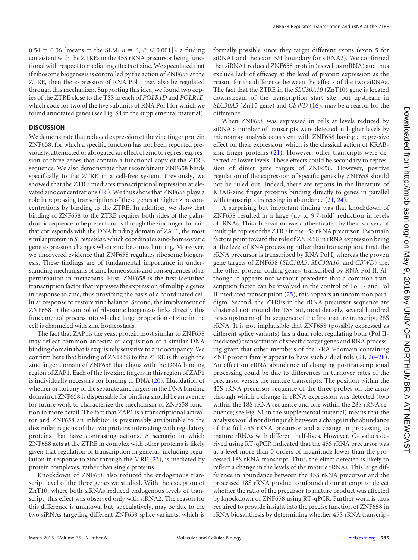$0.54 \pm 0.06$  [means  $\pm$  the SEM,  $n = 6, P < 0.001$ ]), a finding consistent with the ZTREs in the 45S rRNA precursor being functional with respect to mediating effects of zinc. We speculated that if ribosome biogenesis is controlled by the action of ZNF658 at the ZTRE, then the expression of RNA Pol I may also be regulated through this mechanism. Supporting this idea, we found two copies of the ZTRE close to the TSS in each of *POLR1D* and *POLR1E*, which code for two of the five subunits of RNA Pol I for which we found annotated genes (see Fig. S4 in the supplemental material).

# **DISCUSSION**

We demonstrate that reduced expression of the zinc finger protein ZNF658, for which a specific function has not been reported previously, attenuated or abrogated an effect of zinc to repress expression of three genes that contain a functional copy of the ZTRE sequence. We also demonstrate that recombinant ZNF658 binds specifically to the ZTRE in a cell-free system. Previously, we showed that the ZTRE mediates transcriptional repression at elevated zinc concentrations [\(16\)](#page-10-1). We thus show that ZNF658 plays a role in repressing transcription of these genes at higher zinc concentrations by binding to the ZTRE. In addition, we show that binding of ZNF658 to the ZTRE requires both sides of the palindromic sequence to be present and is through the zinc finger domain that corresponds with the DNA binding domain of ZAP1, the most similar protein in*S. cerevisiae*, which coordinates zinc-homeostatic gene expression changes when zinc becomes limiting. Moreover, we uncovered evidence that ZNF658 regulates ribosome biogenesis. These findings are of fundamental importance in understanding mechanisms of zinc homeostasis and consequences of its perturbation in metazoans. First, ZNF658 is the first identified transcription factor that represses the expression of multiple genes in response to zinc, thus providing the basis of a coordinated cellular response to restore zinc balance. Second, the involvement of ZNF658 in the control of ribosome biogenesis links directly this fundamental process into which a large proportion of zinc in the cell is channeled with zinc homeostasis.

<span id="page-9-9"></span>The fact that ZAP1is the yeast protein most similar to ZNF658 may reflect common ancestry or acquisition of a similar DNA binding domain that is exquisitely sensitive to zinc occupancy. We confirm here that binding of ZNF658 to the ZTRE is through the zinc finger domain of ZNF658 that aligns with the DNA binding region of ZAP1. Each of the five zinc fingers in this region of ZAP1 is individually necessary for binding to DNA [\(20\)](#page-10-5). Elucidation of whether or not any of the separate zinc fingers in the DNA binding domain of ZNF658 is dispensable for binding should be an avenue for future work to characterize the mechanism of ZNF658 function in more detail. The fact that ZAP1 is a transcriptional activator and ZNF658 an inhibitor is presumably attributable to the dissimilar regions of the two proteins interacting with regulatory proteins that have contrasting actions. A scenario in which ZNF658 acts at the ZTRE in complex with other proteins is likely given that regulation of transcription in general, including regulation in response to zinc through the MRE [\(23\)](#page-10-8), is mediated by protein complexes, rather than single proteins.

<span id="page-9-13"></span><span id="page-9-12"></span><span id="page-9-11"></span><span id="page-9-10"></span>Knockdown of ZNF658 also reduced the endogenous transcript level of the three genes we studied. With the exception of ZnT10, where both siRNAs reduced endogenous levels of transcript, this effect was observed only with siRNA2. The reason for this difference is unknown but, speculatively, may be due to the two siRNAs targeting different ZNF658 splice variants, which is

formally possible since they target different exons (exon 5 for siRNA1 and the exon 3/4 boundary for siRNA2). We confirmed that siRNA1 reduced ZNF658 protein (as well as mRNA) and thus exclude lack of efficacy at the level of protein expression as the reason for the difference between the effects of the two siRNAs. The fact that the ZTRE in the *SLC30A10* (ZnT10) gene is located downstream of the transcription start site, but upstream in *SLC30A5* (ZnT5 gene) and *CBWD* [\(16\)](#page-10-1), may be a reason for the difference.

When ZNF658 was expressed in cells at levels reduced by siRNA a number of transcripts were detected at higher levels by microarray analysis consistent with ZNF658 having a repressive effect on their expression, which is the classical action of KRABzinc finger proteins  $(21)$ . However, other transcripts were detected at lower levels. These effects could be secondary to repression of direct gene targets of ZNF658. However, positive regulation of the expression of specific genes by ZNF658 should not be ruled out. Indeed, there are reports in the literature of KRAB-zinc finger proteins binding directly to genes in parallel with transcripts increasing in abundance  $(21, 24)$  $(21, 24)$ .

<span id="page-9-8"></span><span id="page-9-7"></span><span id="page-9-6"></span><span id="page-9-5"></span><span id="page-9-4"></span><span id="page-9-3"></span><span id="page-9-2"></span><span id="page-9-1"></span><span id="page-9-0"></span>A surprising but important finding was that knockdown of ZNF658 resulted in a large (up to 9.7-fold) reduction in levels of rRNAs. This observation was authenticated by the discovery of multiple copies of the ZTRE in the 45S rRNA precursor. Two main factors point toward the role of ZNF658 in rRNA expression being at the level of RNA processing rather than transcription. First, the rRNA precursor is transcribed by RNA Pol I, whereas the proven gene targets of ZNF658 (*SLC30A5*, *SLC30A10*, and *CBWD*) are, like other protein-coding genes, transcribed by RNA Pol II. Although it appears not without precedent that a common transcription factor can be involved in the control of Pol I- and Pol II-mediated transcription [\(25\)](#page-10-10), this appears an uncommon paradigm. Second, the ZTREs in the rRNA precursor sequence are clustered not around the TSS but, most densely, several hundred bases upstream of the sequence of the first mature transcript, 28S rRNA. It is not implausible that ZNF658 (possibly expressed as different splice variants) has a dual role, regulating both (Pol IImediated) transcription of specific target genes and RNA processing given that other members of the KRAB-domain containing ZNF protein family appear to have such a dual role [\(21,](#page-10-6) [26](#page-10-11)[–](#page-10-12)[28\)](#page-10-13). An effect on rRNA abundance of changing posttranscriptional processing could be due to differences in turnover rates of the precursor versus the mature transcripts. The position within the 45S rRNA precursor sequence of the three probes on the array through which a change in rRNA expression was detected (two within the 18S rRNA sequence and one within the 28S rRNA sequence; see Fig. S1 in the supplemental material) means that the analysis would not distinguish between a change in the abundance of the full 45S rRNA precursor and a change in processing to mature rRNAs with different half-lives. However,  $C_T$  values derived using RT-qPCR indicated that the 45S rRNA precursor was at a level more than 3 orders of magnitude lower than the processed 18S rRNA transcript. Thus, the effect detected is likely to reflect a change in the levels of the mature rRNAs. This large difference in abundance between the 45S rRNA precursor and the processed 18S rRNA product confounded our attempt to detect whether the ratio of the precursor to mature product was affected by knockdown of ZNF658 using RT-qPCR. Further work is thus required to provide insight into the precise function of ZNF658 in rRNA biosynthesis by determining whether 45S rRNA transcrip-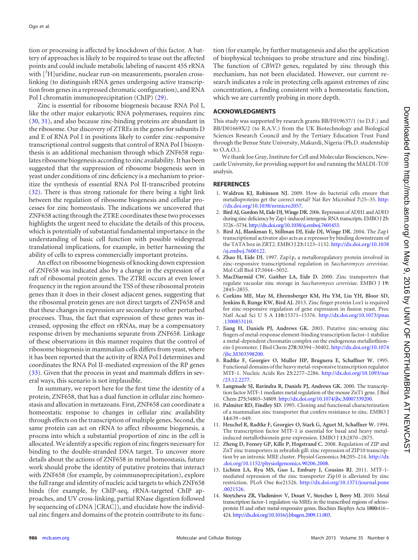<span id="page-10-1"></span><span id="page-10-0"></span>tion or processing is affected by knockdown of this factor. A battery of approaches is likely to be required to tease out the affected points and could include metabolic labeling of nascent 45S rRNA with  $[{}^{3}H]$ uridine, nuclear run-on measurements, psoralen crosslinking (to distinguish rRNA genes undergoing active transcription from genes in a repressed chromatic configuration), and RNA Pol I chromatin immunoprecipitation (ChIP) [\(29\)](#page-10-14).

<span id="page-10-4"></span><span id="page-10-3"></span><span id="page-10-2"></span>Zinc is essential for ribosome biogenesis because RNA Pol I, like the other major eukaryotic RNA polymerases, requires zinc [\(30,](#page-10-15) [31\)](#page-10-16), and also because zinc-binding proteins are abundant in the ribosome. Our discovery of ZTREs in the genes for subunits D and E of RNA Pol I in positions likely to confer zinc-responsive transcriptional control suggests that control of RNA Pol I biosynthesis is an additional mechanism through which ZNF658 regulates ribosome biogenesis according to zinc availability. It has been suggested that the suppression of ribosome biogenesis seen in yeast under conditions of zinc deficiency is a mechanism to prioritize the synthesis of essential RNA Pol II-transcribed proteins [\(32\)](#page-10-17). There is thus strong rationale for there being a tight link between the regulation of ribosome biogenesis and cellular processes for zinc homeostasis. The indications we uncovered that ZNF658 acting through the ZTRE coordinates these two processes highlights the urgent need to elucidate the details of this process, which is potentially of substantial fundamental importance in the understanding of basic cell function with possible widespread translational implications, for example, in better harnessing the ability of cells to express commercially important proteins.

<span id="page-10-9"></span><span id="page-10-8"></span><span id="page-10-7"></span><span id="page-10-6"></span><span id="page-10-5"></span>An effect on ribosome biogenesis of knocking down expression of ZNF658 was indicated also by a change in the expression of a raft of ribosomal protein genes. The ZTRE occurs at even lower frequency in the region around the TSS of these ribosomal protein genes than it does in their closest adjacent genes, suggesting that the ribosomal protein genes are not direct targets of ZNF658 and that these changes in expression are secondary to other perturbed processes. Thus, the fact that expression of these genes was increased, opposing the effect on rRNAs, may be a compensatory response driven by mechanisms separate from ZNF658. Linkage of these observations in this manner requires that the control of ribosome biogenesis in mammalian cells differs from yeast, where it has been reported that the activity of RNA Pol I determines and coordinates the RNA Pol II-mediated expression of the RP genes [\(33\)](#page-10-18). Given that the process in yeast and mammals differs in several ways, this scenario is not implausible.

In summary, we report here for the first time the identity of a protein, ZNF658, that has a dual function in cellular zinc homeostasis and allocation in metazoans. First, ZNF658 can coordinate a homeostatic response to changes in cellular zinc availability through effects on the transcription of multiple genes. Second, the same protein can act on rRNA to affect ribosome biogenesis, a process into which a substantial proportion of zinc in the cell is allocated. We identify a specific region of zinc fingers necessary for binding to the double-stranded DNA target. To uncover more details about the actions of ZNF658 in metal homeostasis, future work should probe the identity of putative proteins that interact with ZNF658 (for example, by coimmunoprecipitation), explore the full range and identity of nucleic acid targets to which ZNF658 binds (for example, by ChIP-seq, rRNA-targeted ChIP approaches, and UV cross-linking, partial RNase digestion followed by sequencing of cDNA [CRAC]), and elucidate how the individual zinc fingers and domains of the protein contribute to its func<span id="page-10-10"></span>tion (for example, by further mutagenesis and also the application of biophysical techniques to probe structure and zinc binding). The function of *CBWD* genes, regulated by zinc through this mechanism, has not been elucidated. However, our current research indicates a role in protecting cells against extremes of zinc concentration, a finding consistent with a homeostatic function, which we are currently probing in more depth.

# <span id="page-10-11"></span>**ACKNOWLEDGMENTS**

<span id="page-10-12"></span>This study was supported by research grants BB/F019637/1 (to D.F.) and BB/D01669X/2 (to R.A.V.) from the UK Biotechnology and Biological Sciences Research Council and by the Tertiary Education Trust Fund through the Benue State University, Makurdi, Nigeria (Ph.D. studentship to O.A.O.).

<span id="page-10-13"></span>We thank Joe Gray, Institute for Cell and Molecular Biosciences, Newcastle University, for providing support for and running the MALDI-TOF analysis.

# <span id="page-10-14"></span>**REFERENCES**

- 1. **Waldron KJ, Robinson NJ.** 2009. How do bacterial cells ensure that metalloproteins get the correct metal? Nat Rev Microbiol **7:**25–35. [http:](http://dx.doi.org/10.1038/nrmicro2057) [//dx.doi.org/10.1038/nrmicro2057.](http://dx.doi.org/10.1038/nrmicro2057)
- <span id="page-10-15"></span>2. **Bird AJ, Gordon M, Eide DJ, Winge DR.** 2006. Repression of ADH1 and ADH3 during zinc deficiency by Zap1-induced intergenic RNA transcripts. EMBO J **25:** 5726–5734. [http://dx.doi.org/10.1038/sj.emboj.7601453.](http://dx.doi.org/10.1038/sj.emboj.7601453)
- <span id="page-10-16"></span>3. **Bird AJ, Blankman E, Stillman DJ, Eide DJ, Winge DR.** 2004. The Zap1 transcriptional activator also acts as a repressor by binding downstream of the TATA box in ZRT2. EMBO J **23:**1123–1132. [http://dx.doi.org/10.1038](http://dx.doi.org/10.1038/sj.emboj.7600122) [/sj.emboj.7600122.](http://dx.doi.org/10.1038/sj.emboj.7600122)
- <span id="page-10-17"></span>4. **Zhao H, Eide DJ.** 1997. Zap1p, a metalloregulatory protein involved in zinc-responsive transcriptional regulation in *Saccharomyces cerevisiae*. Mol Cell Biol **17:**5044 –5052.
- <span id="page-10-18"></span>5. **MacDiarmid CW, Gaither LA, Eide D.** 2000. Zinc transporters that regulate vacuolar zinc storage in *Saccharomyces cerevisiae*. EMBO J **19:** 2845–2855.
- 6. **Corkins ME, May M, Ehrensberger KM, Hu YM, Liu YH, Bloor SD, Jenkins B, Runge KW, Bird AJ.** 2013. Zinc finger protein Loz1 is required for zinc-responsive regulation of gene expression in fission yeast. Proc Natl Acad SciUSA **110:**15371–15376. [http://dx.doi.org/10.1073/pnas](http://dx.doi.org/10.1073/pnas.1300853110) [.1300853110.](http://dx.doi.org/10.1073/pnas.1300853110)
- 7. **Jiang H, Daniels PJ, Andrews GK.** 2003. Putative zinc-sensing zinc fingers of metal-response element-binding transcription factor-1 stabilize a metal-dependent chromatin complex on the endogenous metallothionein-I promoter. J Biol Chem **278:**30394 –30402. [http://dx.doi.org/10.1074](http://dx.doi.org/10.1074/jbc.M303598200) [/jbc.M303598200.](http://dx.doi.org/10.1074/jbc.M303598200)
- 8. **Radtke F, Georgiev O, Muller HP, Brugnera E, Schaffner W.** 1995. Functional domains of the heavy metal-responsive transcription regulator MTF-1. Nucleic Acids Res **23:**2277–2286. [http://dx.doi.org/10.1093/nar](http://dx.doi.org/10.1093/nar/23.12.2277) [/23.12.2277.](http://dx.doi.org/10.1093/nar/23.12.2277)
- 9. **Langmade SJ, Ravindra R, Daniels PJ, Andrews GK.** 2000. The transcription factor MTF-1 mediates metal regulation of the mouse ZnT1 gene. J Biol Chem **275:**34803–34809. [http://dx.doi.org/10.1074/jbc.M007339200.](http://dx.doi.org/10.1074/jbc.M007339200)
- 10. **Palmiter RD, Findley SD.** 1995. Cloning and functional characterization of a mammalian zinc transporter that confers resistance to zinc. EMBO J **14:**639 – 649.
- 11. **Heuchel R, Radtke F, Georgiev O, Stark G, Aguet M, Schaffner W.** 1994. The transcription factor MTF-1 is essential for basal and heavy metalinduced metallothionein gene expression. EMBO J **13:**2870 –2875.
- 12. **Zheng D, Feeney GP, Kille P, Hogstrand C.** 2008. Regulation of ZIP and ZnT zinc transporters in zebrafish gill: zinc repression of ZIP10 transcription by an intronic MRE cluster. Physiol Genomics **34:**205–214. [http://dx](http://dx.doi.org/10.1152/physiolgenomics.90206.2008) [.doi.org/10.1152/physiolgenomics.90206.2008.](http://dx.doi.org/10.1152/physiolgenomics.90206.2008)
- 13. **Lichten LA, Ryu MS, Guo L, Embury J, Cousins RJ.** 2011. MTF-1 mediated repression of the zinc transporter Zip10 is alleviated by zinc restriction. PLoS One **6:**e21526. [http://dx.doi.org/10.1371/journal.pone](http://dx.doi.org/10.1371/journal.pone.0021526) [.0021526.](http://dx.doi.org/10.1371/journal.pone.0021526)
- 14. **Stoytcheva ZR, Vladimirov V, Douet V, Stoychev I, Berry MJ.** 2010. Metal transcription factor-1 regulation via MREs in the transcribed regions of selenoprotein H and other metal-responsive genes. Biochim Biophys Acta **1800:**416– 424. [http://dx.doi.org/10.1016/j.bbagen.2009.11.003.](http://dx.doi.org/10.1016/j.bbagen.2009.11.003)